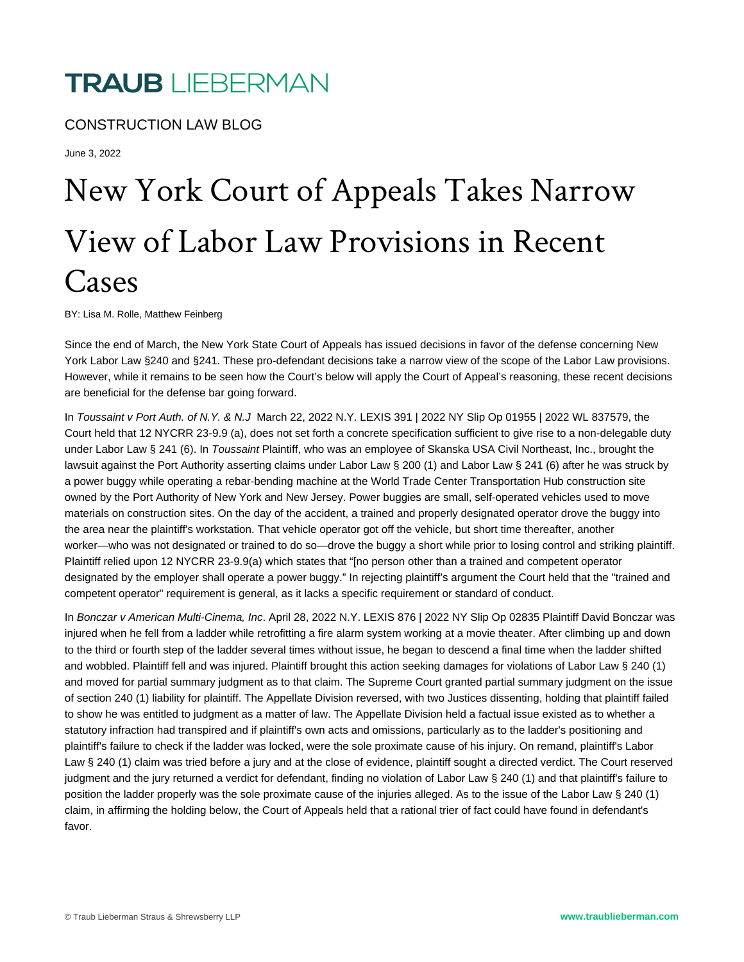## **TRAUB** LIEBERMAN

CONSTRUCTION LAW BLOG

June 3, 2022

## New York Court of Appeals Takes Narrow View of Labor Law Provisions in Recent Cases

BY: Lisa M. Rolle, Matthew Feinberg

Since the end of March, the New York State Court of Appeals has issued decisions in favor of the defense concerning New York Labor Law §240 and §241. These pro-defendant decisions take a narrow view of the scope of the Labor Law provisions. However, while it remains to be seen how the Court's below will apply the Court of Appeal's reasoning, these recent decisions are beneficial for the defense bar going forward.

In Toussaint v Port Auth. of N.Y. & N.J March 22, 2022 N.Y. LEXIS 391 | 2022 NY Slip Op 01955 | 2022 WL 837579, the Court held that 12 NYCRR 23-9.9 (a), does not set forth a concrete specification sufficient to give rise to a non-delegable duty under Labor Law § 241 (6). In Toussaint Plaintiff, who was an employee of Skanska USA Civil Northeast, Inc., brought the lawsuit against the Port Authority asserting claims under Labor Law § 200 (1) and Labor Law § 241 (6) after he was struck by a power buggy while operating a rebar-bending machine at the World Trade Center Transportation Hub construction site owned by the Port Authority of New York and New Jersey. Power buggies are small, self-operated vehicles used to move materials on construction sites. On the day of the accident, a trained and properly designated operator drove the buggy into the area near the plaintiff's workstation. That vehicle operator got off the vehicle, but short time thereafter, another worker—who was not designated or trained to do so—drove the buggy a short while prior to losing control and striking plaintiff. Plaintiff relied upon 12 NYCRR 23-9.9(a) which states that "[no person other than a trained and competent operator designated by the employer shall operate a power buggy." In rejecting plaintiff's argument the Court held that the "trained and competent operator" requirement is general, as it lacks a specific requirement or standard of conduct.

In Bonczar v American Multi-Cinema, Inc. April 28, 2022 N.Y. LEXIS 876 | 2022 NY Slip Op 02835 Plaintiff David Bonczar was injured when he fell from a ladder while retrofitting a fire alarm system working at a movie theater. After climbing up and down to the third or fourth step of the ladder several times without issue, he began to descend a final time when the ladder shifted and wobbled. Plaintiff fell and was injured. Plaintiff brought this action seeking damages for violations of Labor Law § 240 (1) and moved for partial summary judgment as to that claim. The Supreme Court granted partial summary judgment on the issue of section 240 (1) liability for plaintiff. The Appellate Division reversed, with two Justices dissenting, holding that plaintiff failed to show he was entitled to judgment as a matter of law. The Appellate Division held a factual issue existed as to whether a statutory infraction had transpired and if plaintiff's own acts and omissions, particularly as to the ladder's positioning and plaintiff's failure to check if the ladder was locked, were the sole proximate cause of his injury. On remand, plaintiff's Labor Law § 240 (1) claim was tried before a jury and at the close of evidence, plaintiff sought a directed verdict. The Court reserved judgment and the jury returned a verdict for defendant, finding no violation of Labor Law § 240 (1) and that plaintiff's failure to position the ladder properly was the sole proximate cause of the injuries alleged. As to the issue of the Labor Law § 240 (1) claim, in affirming the holding below, the Court of Appeals held that a rational trier of fact could have found in defendant's favor.